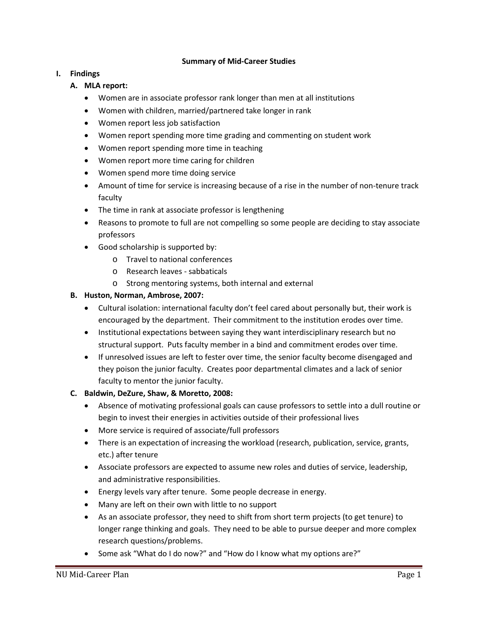### **Summary of Mid-Career Studies**

### **I. Findings**

- **A. MLA report:**
	- Women are in associate professor rank longer than men at all institutions
	- Women with children, married/partnered take longer in rank
	- Women report less job satisfaction
	- Women report spending more time grading and commenting on student work
	- Women report spending more time in teaching
	- Women report more time caring for children
	- Women spend more time doing service
	- Amount of time for service is increasing because of a rise in the number of non-tenure track faculty
	- The time in rank at associate professor is lengthening
	- Reasons to promote to full are not compelling so some people are deciding to stay associate professors
	- Good scholarship is supported by:
		- o Travel to national conferences
		- o Research leaves sabbaticals
		- o Strong mentoring systems, both internal and external

# **B. Huston, Norman, Ambrose, 2007:**

- Cultural isolation: international faculty don't feel cared about personally but, their work is encouraged by the department. Their commitment to the institution erodes over time.
- Institutional expectations between saying they want interdisciplinary research but no structural support. Puts faculty member in a bind and commitment erodes over time.
- If unresolved issues are left to fester over time, the senior faculty become disengaged and they poison the junior faculty. Creates poor departmental climates and a lack of senior faculty to mentor the junior faculty.

# **C. Baldwin, DeZure, Shaw, & Moretto, 2008:**

- Absence of motivating professional goals can cause professors to settle into a dull routine or begin to invest their energies in activities outside of their professional lives
- More service is required of associate/full professors
- There is an expectation of increasing the workload (research, publication, service, grants, etc.) after tenure
- Associate professors are expected to assume new roles and duties of service, leadership, and administrative responsibilities.
- Energy levels vary after tenure. Some people decrease in energy.
- Many are left on their own with little to no support
- As an associate professor, they need to shift from short term projects (to get tenure) to longer range thinking and goals. They need to be able to pursue deeper and more complex research questions/problems.
- Some ask "What do I do now?" and "How do I know what my options are?"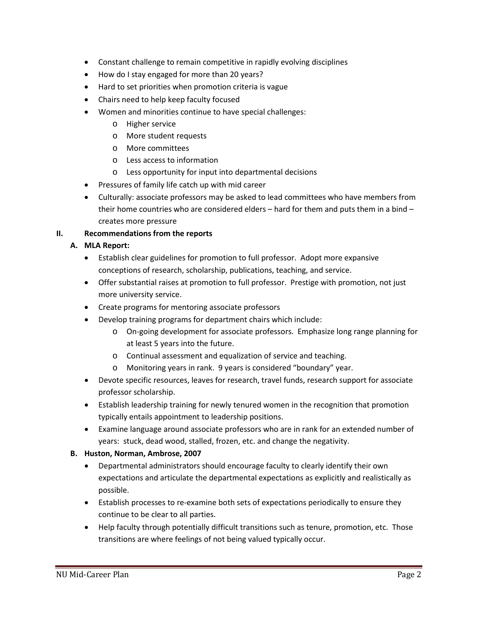- Constant challenge to remain competitive in rapidly evolving disciplines
- How do I stay engaged for more than 20 years?
- Hard to set priorities when promotion criteria is vague
- Chairs need to help keep faculty focused
- Women and minorities continue to have special challenges:
	- o Higher service
	- o More student requests
	- o More committees
	- o Less access to information
	- o Less opportunity for input into departmental decisions
- Pressures of family life catch up with mid career
- Culturally: associate professors may be asked to lead committees who have members from their home countries who are considered elders – hard for them and puts them in a bind – creates more pressure

# **II. Recommendations from the reports**

# **A. MLA Report:**

- Establish clear guidelines for promotion to full professor. Adopt more expansive conceptions of research, scholarship, publications, teaching, and service.
- Offer substantial raises at promotion to full professor. Prestige with promotion, not just more university service.
- Create programs for mentoring associate professors
- Develop training programs for department chairs which include:
	- o On-going development for associate professors. Emphasize long range planning for at least 5 years into the future.
	- o Continual assessment and equalization of service and teaching.
	- o Monitoring years in rank. 9 years is considered "boundary" year.
- Devote specific resources, leaves for research, travel funds, research support for associate professor scholarship.
- Establish leadership training for newly tenured women in the recognition that promotion typically entails appointment to leadership positions.
- Examine language around associate professors who are in rank for an extended number of years: stuck, dead wood, stalled, frozen, etc. and change the negativity.

# **B. Huston, Norman, Ambrose, 2007**

- Departmental administrators should encourage faculty to clearly identify their own expectations and articulate the departmental expectations as explicitly and realistically as possible.
- Establish processes to re-examine both sets of expectations periodically to ensure they continue to be clear to all parties.
- Help faculty through potentially difficult transitions such as tenure, promotion, etc. Those transitions are where feelings of not being valued typically occur.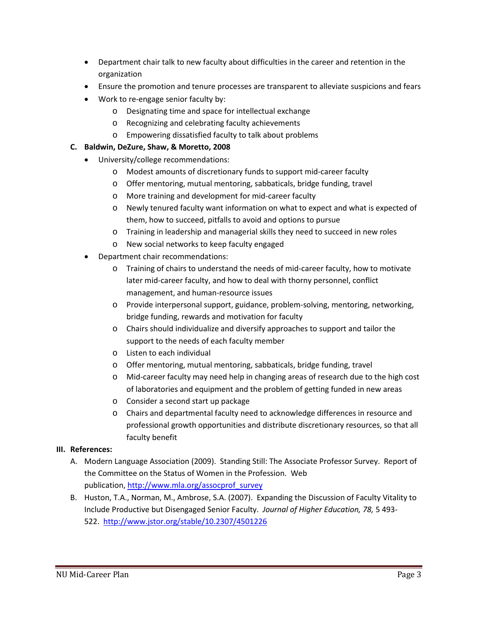- Department chair talk to new faculty about difficulties in the career and retention in the organization
- Ensure the promotion and tenure processes are transparent to alleviate suspicions and fears
- Work to re-engage senior faculty by:
	- o Designating time and space for intellectual exchange
	- o Recognizing and celebrating faculty achievements
	- o Empowering dissatisfied faculty to talk about problems

# **C. Baldwin, DeZure, Shaw, & Moretto, 2008**

- University/college recommendations:
	- o Modest amounts of discretionary funds to support mid-career faculty
	- o Offer mentoring, mutual mentoring, sabbaticals, bridge funding, travel
	- o More training and development for mid-career faculty
	- o Newly tenured faculty want information on what to expect and what is expected of them, how to succeed, pitfalls to avoid and options to pursue
	- o Training in leadership and managerial skills they need to succeed in new roles
	- o New social networks to keep faculty engaged
- Department chair recommendations:
	- o Training of chairs to understand the needs of mid-career faculty, how to motivate later mid-career faculty, and how to deal with thorny personnel, conflict management, and human-resource issues
	- o Provide interpersonal support, guidance, problem-solving, mentoring, networking, bridge funding, rewards and motivation for faculty
	- o Chairs should individualize and diversify approaches to support and tailor the support to the needs of each faculty member
	- o Listen to each individual
	- o Offer mentoring, mutual mentoring, sabbaticals, bridge funding, travel
	- o Mid-career faculty may need help in changing areas of research due to the high cost of laboratories and equipment and the problem of getting funded in new areas
	- o Consider a second start up package
	- o Chairs and departmental faculty need to acknowledge differences in resource and professional growth opportunities and distribute discretionary resources, so that all faculty benefit

# **III. References:**

- A. Modern Language Association (2009). Standing Still: The Associate Professor Survey. Report of the Committee on the Status of Women in the Profession. Web publication, [http://www.mla.org/assocprof\\_survey](http://www.mla.org/assocprof_survey)
- B. Huston, T.A., Norman, M., Ambrose, S.A. (2007). Expanding the Discussion of Faculty Vitality to Include Productive but Disengaged Senior Faculty. *Journal of Higher Education, 78,* 5 493- 522.<http://www.jstor.org/stable/10.2307/4501226>